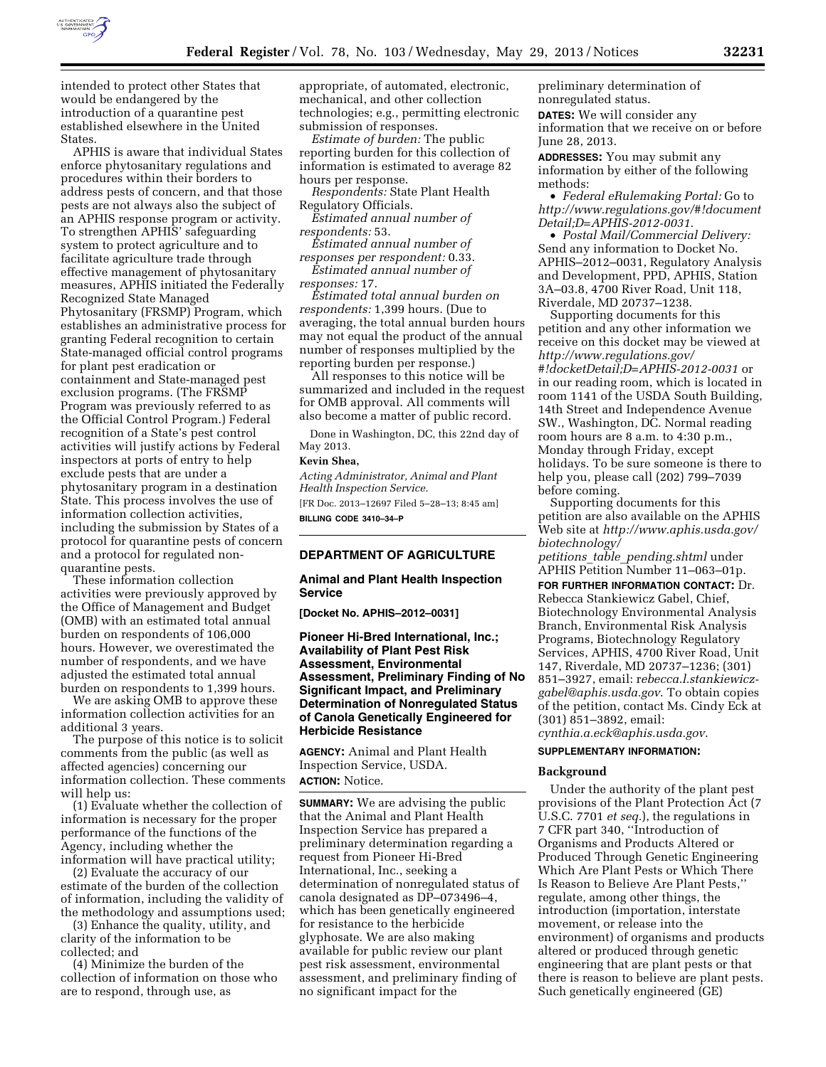

intended to protect other States that would be endangered by the introduction of a quarantine pest established elsewhere in the United **States** 

APHIS is aware that individual States enforce phytosanitary regulations and procedures within their borders to address pests of concern, and that those pests are not always also the subject of an APHIS response program or activity. To strengthen APHIS' safeguarding system to protect agriculture and to facilitate agriculture trade through effective management of phytosanitary measures, APHIS initiated the Federally Recognized State Managed Phytosanitary (FRSMP) Program, which establishes an administrative process for granting Federal recognition to certain State-managed official control programs for plant pest eradication or containment and State-managed pest exclusion programs. (The FRSMP Program was previously referred to as the Official Control Program.) Federal recognition of a State's pest control activities will justify actions by Federal inspectors at ports of entry to help exclude pests that are under a phytosanitary program in a destination State. This process involves the use of information collection activities, including the submission by States of a protocol for quarantine pests of concern and a protocol for regulated nonquarantine pests.

These information collection activities were previously approved by the Office of Management and Budget (OMB) with an estimated total annual burden on respondents of 106,000 hours. However, we overestimated the number of respondents, and we have adjusted the estimated total annual burden on respondents to 1,399 hours.

We are asking OMB to approve these information collection activities for an additional 3 years.

The purpose of this notice is to solicit comments from the public (as well as affected agencies) concerning our information collection. These comments will help us:

(1) Evaluate whether the collection of information is necessary for the proper performance of the functions of the Agency, including whether the information will have practical utility;

(2) Evaluate the accuracy of our estimate of the burden of the collection of information, including the validity of the methodology and assumptions used;

(3) Enhance the quality, utility, and clarity of the information to be collected; and

(4) Minimize the burden of the collection of information on those who are to respond, through use, as

appropriate, of automated, electronic, mechanical, and other collection technologies; e.g., permitting electronic submission of responses.

*Estimate of burden:* The public reporting burden for this collection of information is estimated to average 82 hours per response.

*Respondents:* State Plant Health Regulatory Officials.

*Estimated annual number of respondents:* 53.

*Estimated annual number of responses per respondent:* 0.33.

*Estimated annual number of responses:* 17.

*Estimated total annual burden on respondents:* 1,399 hours. (Due to averaging, the total annual burden hours may not equal the product of the annual number of responses multiplied by the reporting burden per response.)

All responses to this notice will be summarized and included in the request for OMB approval. All comments will also become a matter of public record.

Done in Washington, DC, this 22nd day of May 2013.

### **Kevin Shea,**

*Acting Administrator, Animal and Plant Health Inspection Service.*  [FR Doc. 2013–12697 Filed 5–28–13; 8:45 am] **BILLING CODE 3410–34–P** 

# **DEPARTMENT OF AGRICULTURE**

### **Animal and Plant Health Inspection Service**

**[Docket No. APHIS–2012–0031]** 

**Pioneer Hi-Bred International, Inc.; Availability of Plant Pest Risk Assessment, Environmental Assessment, Preliminary Finding of No Significant Impact, and Preliminary Determination of Nonregulated Status of Canola Genetically Engineered for Herbicide Resistance** 

**AGENCY:** Animal and Plant Health Inspection Service, USDA. **ACTION:** Notice.

**SUMMARY:** We are advising the public that the Animal and Plant Health Inspection Service has prepared a preliminary determination regarding a request from Pioneer Hi-Bred International, Inc., seeking a determination of nonregulated status of canola designated as DP–073496–4, which has been genetically engineered for resistance to the herbicide glyphosate. We are also making available for public review our plant pest risk assessment, environmental assessment, and preliminary finding of no significant impact for the

preliminary determination of nonregulated status.

**DATES:** We will consider any

information that we receive on or before June 28, 2013.

**ADDRESSES:** You may submit any information by either of the following methods:

• *Federal eRulemaking Portal:* Go to *[http://www.regulations.gov/#!document](http://www.regulations.gov/#!documentDetail;D=APHIS-2012-0031) [Detail;D=APHIS-2012-0031](http://www.regulations.gov/#!documentDetail;D=APHIS-2012-0031)*.

• *Postal Mail/Commercial Delivery:*  Send any information to Docket No. APHIS–2012–0031, Regulatory Analysis and Development, PPD, APHIS, Station 3A–03.8, 4700 River Road, Unit 118, Riverdale, MD 20737–1238.

Supporting documents for this petition and any other information we receive on this docket may be viewed at *[http://www.regulations.gov/](http://www.regulations.gov/#!docketDetail;D=APHIS-2012-0031)  [#!docketDetail;D=APHIS-2012-0031](http://www.regulations.gov/#!docketDetail;D=APHIS-2012-0031)* or in our reading room, which is located in room 1141 of the USDA South Building, 14th Street and Independence Avenue SW., Washington, DC. Normal reading room hours are 8 a.m. to 4:30 p.m., Monday through Friday, except holidays. To be sure someone is there to help you, please call (202) 799–7039 before coming.

Supporting documents for this petition are also available on the APHIS Web site at *[http://www.aphis.usda.gov/](http://www.aphis.usda.gov/biotechnology/petitions_table_pending.shtml)  [biotechnology/](http://www.aphis.usda.gov/biotechnology/petitions_table_pending.shtml)* 

*petitions*\_*table*\_*[pending.shtml](http://www.aphis.usda.gov/biotechnology/petitions_table_pending.shtml)* under APHIS Petition Number 11–063–01p.

**FOR FURTHER INFORMATION CONTACT:** Dr. Rebecca Stankiewicz Gabel, Chief, Biotechnology Environmental Analysis Branch, Environmental Risk Analysis Programs, Biotechnology Regulatory Services, APHIS, 4700 River Road, Unit 147, Riverdale, MD 20737–1236; (301) 851–3927, email: r*ebecca.[l.stankiewicz](mailto:l.stankiewicz-gabel@aphis.usda.gov)[gabel@aphis.usda.gov](mailto:l.stankiewicz-gabel@aphis.usda.gov)*. To obtain copies of the petition, contact Ms. Cindy Eck at (301) 851–3892, email: *[cynthia.a.eck@aphis.usda.gov](mailto:cynthia.a.eck@aphis.usda.gov)*.

#### **SUPPLEMENTARY INFORMATION:**

#### **Background**

Under the authority of the plant pest provisions of the Plant Protection Act (7 U.S.C. 7701 *et seq.*), the regulations in 7 CFR part 340, ''Introduction of Organisms and Products Altered or Produced Through Genetic Engineering Which Are Plant Pests or Which There Is Reason to Believe Are Plant Pests,'' regulate, among other things, the introduction (importation, interstate movement, or release into the environment) of organisms and products altered or produced through genetic engineering that are plant pests or that there is reason to believe are plant pests. Such genetically engineered (GE)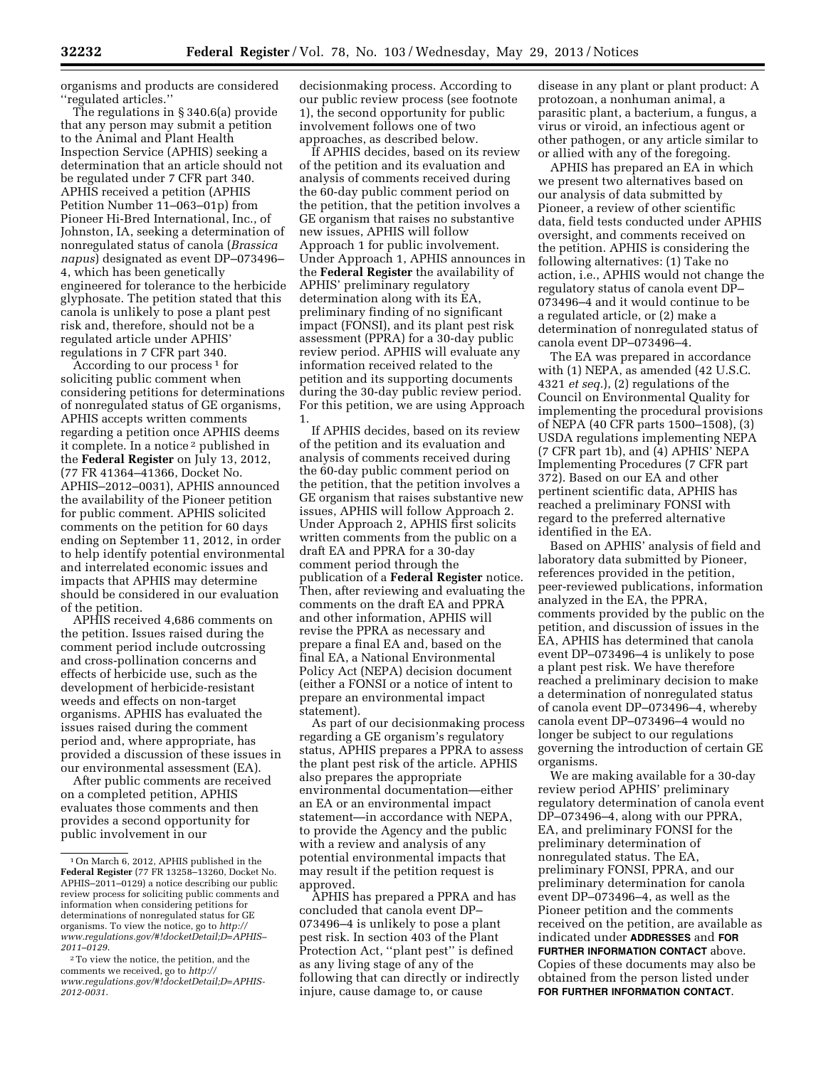organisms and products are considered ''regulated articles.''

The regulations in § 340.6(a) provide that any person may submit a petition to the Animal and Plant Health Inspection Service (APHIS) seeking a determination that an article should not be regulated under 7 CFR part 340. APHIS received a petition (APHIS Petition Number 11–063–01p) from Pioneer Hi-Bred International, Inc., of Johnston, IA, seeking a determination of nonregulated status of canola (*Brassica napus*) designated as event DP–073496– 4, which has been genetically engineered for tolerance to the herbicide glyphosate. The petition stated that this canola is unlikely to pose a plant pest risk and, therefore, should not be a regulated article under APHIS' regulations in 7 CFR part 340.

According to our process<sup>1</sup> for soliciting public comment when considering petitions for determinations of nonregulated status of GE organisms, APHIS accepts written comments regarding a petition once APHIS deems it complete. In a notice 2 published in the **Federal Register** on July 13, 2012, (77 FR 41364–41366, Docket No. APHIS–2012–0031), APHIS announced the availability of the Pioneer petition for public comment. APHIS solicited comments on the petition for 60 days ending on September 11, 2012, in order to help identify potential environmental and interrelated economic issues and impacts that APHIS may determine should be considered in our evaluation of the petition.

APHIS received 4,686 comments on the petition. Issues raised during the comment period include outcrossing and cross-pollination concerns and effects of herbicide use, such as the development of herbicide-resistant weeds and effects on non-target organisms. APHIS has evaluated the issues raised during the comment period and, where appropriate, has provided a discussion of these issues in our environmental assessment (EA).

After public comments are received on a completed petition, APHIS evaluates those comments and then provides a second opportunity for public involvement in our

decisionmaking process. According to our public review process (see footnote 1), the second opportunity for public involvement follows one of two approaches, as described below.

If APHIS decides, based on its review of the petition and its evaluation and analysis of comments received during the 60-day public comment period on the petition, that the petition involves a GE organism that raises no substantive new issues, APHIS will follow Approach 1 for public involvement. Under Approach 1, APHIS announces in the **Federal Register** the availability of APHIS' preliminary regulatory determination along with its EA, preliminary finding of no significant impact (FONSI), and its plant pest risk assessment (PPRA) for a 30-day public review period. APHIS will evaluate any information received related to the petition and its supporting documents during the 30-day public review period. For this petition, we are using Approach 1.

If APHIS decides, based on its review of the petition and its evaluation and analysis of comments received during the 60-day public comment period on the petition, that the petition involves a GE organism that raises substantive new issues, APHIS will follow Approach 2. Under Approach 2, APHIS first solicits written comments from the public on a draft EA and PPRA for a 30-day comment period through the publication of a **Federal Register** notice. Then, after reviewing and evaluating the comments on the draft EA and PPRA and other information, APHIS will revise the PPRA as necessary and prepare a final EA and, based on the final EA, a National Environmental Policy Act (NEPA) decision document (either a FONSI or a notice of intent to prepare an environmental impact statement).

As part of our decisionmaking process regarding a GE organism's regulatory status, APHIS prepares a PPRA to assess the plant pest risk of the article. APHIS also prepares the appropriate environmental documentation—either an EA or an environmental impact statement—in accordance with NEPA, to provide the Agency and the public with a review and analysis of any potential environmental impacts that may result if the petition request is approved.

APHIS has prepared a PPRA and has concluded that canola event DP– 073496–4 is unlikely to pose a plant pest risk. In section 403 of the Plant Protection Act, ''plant pest'' is defined as any living stage of any of the following that can directly or indirectly injure, cause damage to, or cause

disease in any plant or plant product: A protozoan, a nonhuman animal, a parasitic plant, a bacterium, a fungus, a virus or viroid, an infectious agent or other pathogen, or any article similar to or allied with any of the foregoing.

APHIS has prepared an EA in which we present two alternatives based on our analysis of data submitted by Pioneer, a review of other scientific data, field tests conducted under APHIS oversight, and comments received on the petition. APHIS is considering the following alternatives: (1) Take no action, i.e., APHIS would not change the regulatory status of canola event DP– 073496–4 and it would continue to be a regulated article, or (2) make a determination of nonregulated status of canola event DP–073496–4.

The EA was prepared in accordance with (1) NEPA, as amended (42 U.S.C. 4321 *et seq.*), (2) regulations of the Council on Environmental Quality for implementing the procedural provisions of NEPA (40 CFR parts 1500–1508), (3) USDA regulations implementing NEPA (7 CFR part 1b), and (4) APHIS' NEPA Implementing Procedures (7 CFR part 372). Based on our EA and other pertinent scientific data, APHIS has reached a preliminary FONSI with regard to the preferred alternative identified in the EA.

Based on APHIS' analysis of field and laboratory data submitted by Pioneer, references provided in the petition, peer-reviewed publications, information analyzed in the EA, the PPRA, comments provided by the public on the petition, and discussion of issues in the EA, APHIS has determined that canola event DP–073496–4 is unlikely to pose a plant pest risk. We have therefore reached a preliminary decision to make a determination of nonregulated status of canola event DP–073496–4, whereby canola event DP–073496–4 would no longer be subject to our regulations governing the introduction of certain GE organisms.

We are making available for a 30-day review period APHIS' preliminary regulatory determination of canola event DP–073496–4, along with our PPRA, EA, and preliminary FONSI for the preliminary determination of nonregulated status. The EA, preliminary FONSI, PPRA, and our preliminary determination for canola event DP–073496–4, as well as the Pioneer petition and the comments received on the petition, are available as indicated under **ADDRESSES** and **FOR FURTHER INFORMATION CONTACT** above. Copies of these documents may also be obtained from the person listed under **FOR FURTHER INFORMATION CONTACT**.

<sup>1</sup>On March 6, 2012, APHIS published in the **Federal Register** (77 FR 13258–13260, Docket No. APHIS–2011–0129) a notice describing our public review process for soliciting public comments and information when considering petitions for determinations of nonregulated status for GE organisms. To view the notice, go to *[http://](http://www.regulations.gov/#!docketDetail;D=APHIS-2011-0129) [www.regulations.gov/#!docketDetail;D=APHIS–](http://www.regulations.gov/#!docketDetail;D=APHIS-2011-0129)  [2011–0129](http://www.regulations.gov/#!docketDetail;D=APHIS-2011-0129)*.

<sup>2</sup>To view the notice, the petition, and the comments we received, go to *[http://](http://www.regulations.gov/#!docketDetail;D=APHIS-2012-0031) [www.regulations.gov/#!docketDetail;D=APHIS-](http://www.regulations.gov/#!docketDetail;D=APHIS-2012-0031)[2012-0031](http://www.regulations.gov/#!docketDetail;D=APHIS-2012-0031)*.